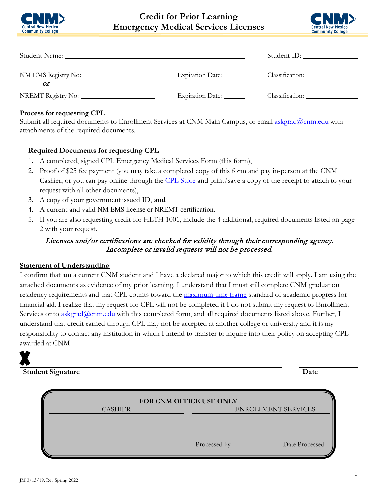

# **Credit for Prior Learning Emergency Medical Services Licenses**



| Student Name: 1988 and 2008 and 2008 and 2008 and 2008 and 2008 and 2008 and 2008 and 2008 and 2008 and 2008 and 2008 and 2008 and 2008 and 2008 and 2008 and 2008 and 2008 and 2008 and 2008 and 2008 and 2008 and 2008 and 2 |                           |                 |
|--------------------------------------------------------------------------------------------------------------------------------------------------------------------------------------------------------------------------------|---------------------------|-----------------|
| Οľ                                                                                                                                                                                                                             | Expiration Date: ________ | Classification: |
|                                                                                                                                                                                                                                | Expiration Date:          | Classification: |

#### **Process for requesting CPL**

Submit all required documents to Enrollment Services at CNM Main Campus, or email [askgrad@cnm.edu](mailto:askgrad@cnm.edu) with attachments of the required documents.

### **Required Documents for requesting CPL**

- 1. A completed, signed CPL Emergency Medical Services Form (this form),
- 2. Proof of \$25 fee payment (you may take a completed copy of this form and pay in-person at the CNM Cashier, or you can pay online through the [CPL Store](https://secure.touchnet.com/C20016_ustores/web/store_main.jsp?STOREID=2&FROMQRCODE=true) and print/save a copy of the receipt to attach to your request with all other documents),
- 3. A copy of your government issued ID, **and**
- 4. A current and valid NM EMS license or NREMT certification.
- 5. If you are also requesting credit for HLTH 1001, include the 4 additional, required documents listed on page 2 with your request.

## Licenses and/or certifications are checked for validity through their corresponding agency. Incomplete or invalid requests will not be processed.

#### **Statement of Understanding**

I confirm that am a current CNM student and I have a declared major to which this credit will apply. I am using the attached documents as evidence of my prior learning. I understand that I must still complete CNM graduation residency requirements and that CPL counts toward the [maximum time frame](https://www.cnm.edu/depts/financial-aid/requirements/sap) standard of academic progress for financial aid. I realize that my request for CPL will not be completed if I do not submit my request to Enrollment Services or to [askgrad@cnm.edu](mailto:askgrad@cnm.edu) with this completed form, and all required documents listed above. Further, I understand that credit earned through CPL may not be accepted at another college or university and it is my responsibility to contact any institution in which I intend to transfer to inquire into their policy on accepting CPL awarded at CNM



**Student Signature Date**

| FOR CNM OFFICE USE ONLY |  |              |                            |
|-------------------------|--|--------------|----------------------------|
| <b>CASHIER</b>          |  |              | <b>ENROLLMENT SERVICES</b> |
|                         |  |              |                            |
|                         |  |              |                            |
|                         |  |              |                            |
|                         |  | Processed by | Date Processed             |
|                         |  |              |                            |